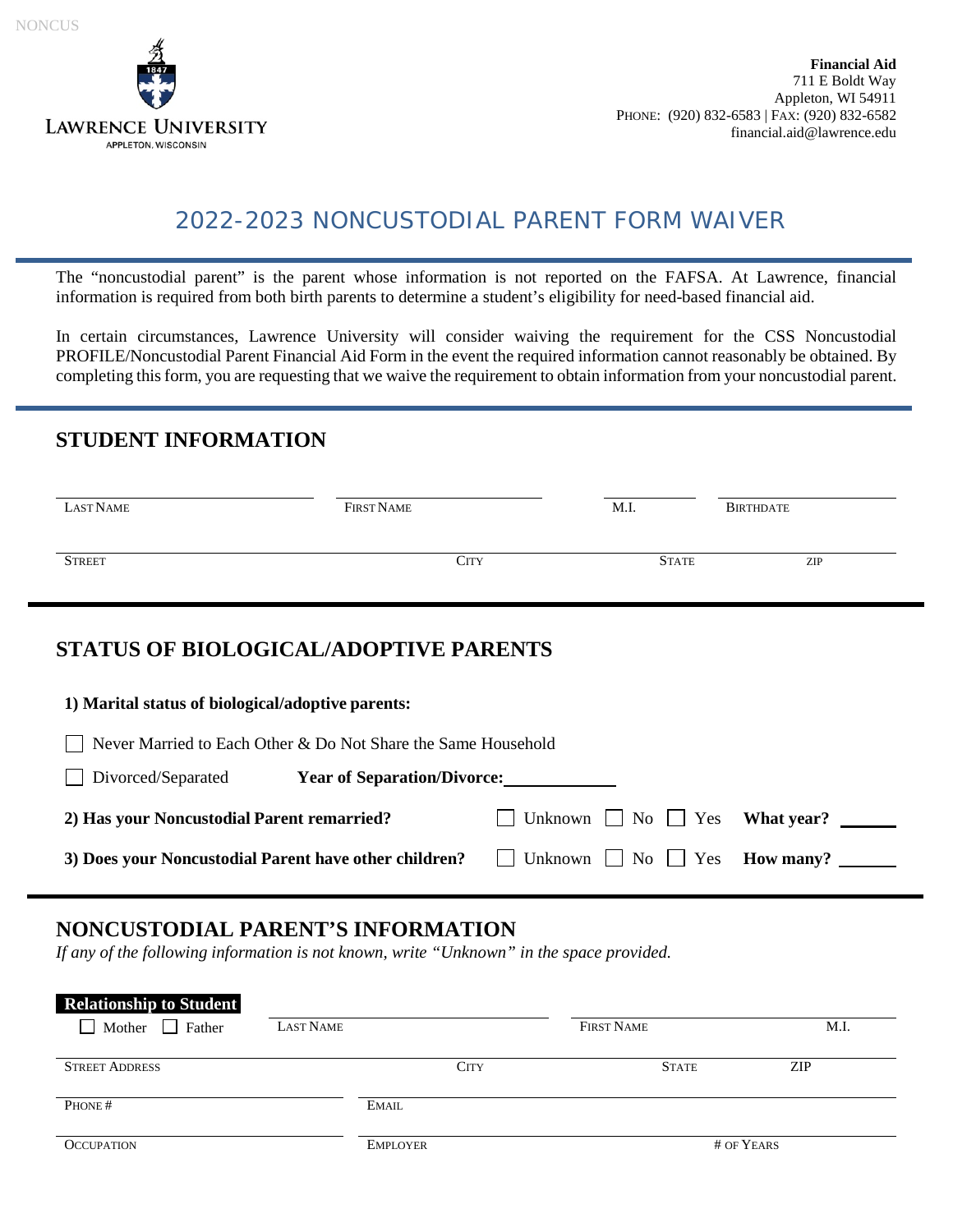

# 2022-2023 NONCUSTODIAL PARENT FORM WAIVER

The "noncustodial parent" is the parent whose information is not reported on the FAFSA. At Lawrence, financial information is required from both birth parents to determine a student's eligibility for need-based financial aid.

In certain circumstances, Lawrence University will consider waiving the requirement for the CSS Noncustodial PROFILE/Noncustodial Parent Financial Aid Form in the event the required information cannot reasonably be obtained. By completing this form, you are requesting that we waive the requirement to obtain information from your noncustodial parent.

#### **STUDENT INFORMATION**

| LAST NAME     | FIRST NAME | M.I.         | BIRTHDATE |
|---------------|------------|--------------|-----------|
| <b>STREET</b> | City       | <b>STATE</b> | ZIP       |

### **STATUS OF BIOLOGICAL/ADOPTIVE PARENTS**

| 1) Marital status of biological/adoptive parents:                             |                                                      |  |  |
|-------------------------------------------------------------------------------|------------------------------------------------------|--|--|
| Never Married to Each Other & Do Not Share the Same Household<br>$\mathbf{L}$ |                                                      |  |  |
| Divorced/Separated<br><b>Year of Separation/Divorce:</b>                      |                                                      |  |  |
| 2) Has your Noncustodial Parent remarried?                                    | $\Box$ Unknown $\Box$ No $\Box$ Yes What year?       |  |  |
| 3) Does your Noncustodial Parent have other children?                         | $\Box$ Unknown $\Box$ No $\Box$ Yes <b>How many?</b> |  |  |

## **NONCUSTODIAL PARENT'S INFORMATION**

*If any of the following information is not known, write "Unknown" in the space provided.* 

| <b>Relationship to Student</b> |           |                 |                   |            |
|--------------------------------|-----------|-----------------|-------------------|------------|
| Mother Father                  | LAST NAME |                 | <b>FIRST NAME</b> | M.I.       |
|                                |           |                 |                   |            |
| <b>STREET ADDRESS</b>          |           | <b>CITY</b>     | <b>STATE</b>      | ZIP        |
|                                |           |                 |                   |            |
| PHONE#                         |           | <b>EMAIL</b>    |                   |            |
|                                |           |                 |                   |            |
| <b>OCCUPATION</b>              |           | <b>EMPLOYER</b> |                   | # OF YEARS |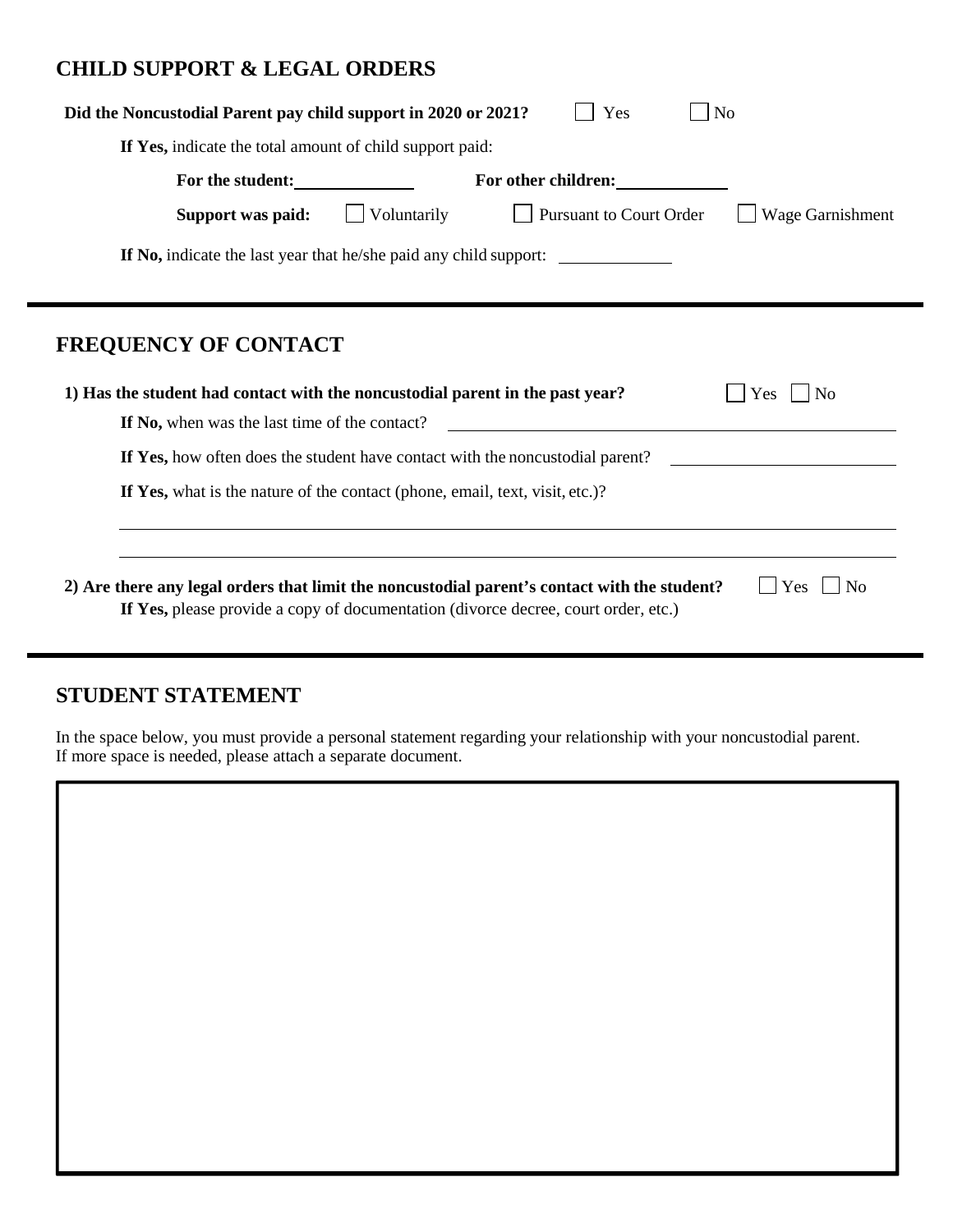#### **CHILD SUPPORT & LEGAL ORDERS**

| Did the Noncustodial Parent pay child support in 2020 or 2021?<br>Yes<br>N <sub>o</sub>                                                                                                                            |  |  |  |
|--------------------------------------------------------------------------------------------------------------------------------------------------------------------------------------------------------------------|--|--|--|
| If Yes, indicate the total amount of child support paid:                                                                                                                                                           |  |  |  |
| For the student:<br>For other children:                                                                                                                                                                            |  |  |  |
| Voluntarily<br><b>Pursuant to Court Order</b><br>Wage Garnishment<br>Support was paid:                                                                                                                             |  |  |  |
| <b>If No,</b> indicate the last year that he/she paid any child support:                                                                                                                                           |  |  |  |
|                                                                                                                                                                                                                    |  |  |  |
| FREQUENCY OF CONTACT                                                                                                                                                                                               |  |  |  |
| 1) Has the student had contact with the noncustodial parent in the past year?<br>N <sub>o</sub><br><b>Yes</b>                                                                                                      |  |  |  |
| If No, when was the last time of the contact?                                                                                                                                                                      |  |  |  |
| If Yes, how often does the student have contact with the noncustodial parent?                                                                                                                                      |  |  |  |
| If Yes, what is the nature of the contact (phone, email, text, visit, etc.)?                                                                                                                                       |  |  |  |
|                                                                                                                                                                                                                    |  |  |  |
| 2) Are there any legal orders that limit the noncustodial parent's contact with the student?<br>N <sub>0</sub><br><b>Yes</b><br>If Yes, please provide a copy of documentation (divorce decree, court order, etc.) |  |  |  |

## **STUDENT STATEMENT**

In the space below, you must provide a personal statement regarding your relationship with your noncustodial parent. If more space is needed, please attach a separate document.